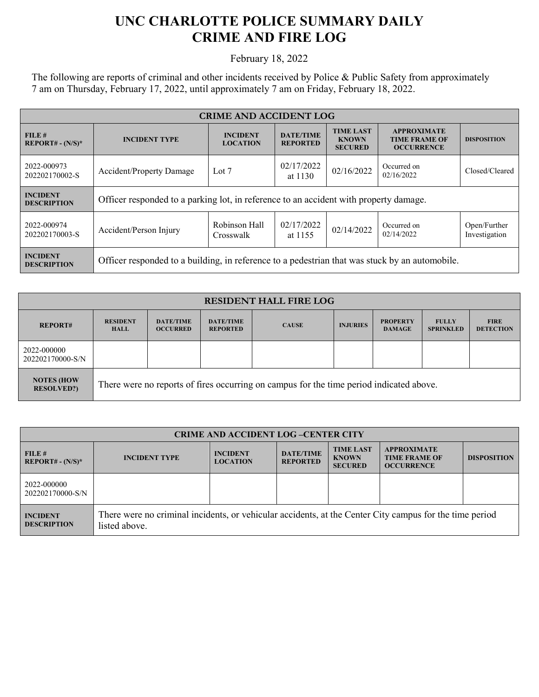## **UNC CHARLOTTE POLICE SUMMARY DAILY CRIME AND FIRE LOG**

February 18, 2022

The following are reports of criminal and other incidents received by Police & Public Safety from approximately 7 am on Thursday, February 17, 2022, until approximately 7 am on Friday, February 18, 2022.

| <b>CRIME AND ACCIDENT LOG</b>         |                                                                                                                                                         |                            |                                                                 |                    |                           |                               |
|---------------------------------------|---------------------------------------------------------------------------------------------------------------------------------------------------------|----------------------------|-----------------------------------------------------------------|--------------------|---------------------------|-------------------------------|
| FILE#<br>$REPORT# - (N/S)*$           | <b>TIME LAST</b><br><b>DATE/TIME</b><br><b>INCIDENT</b><br><b>INCIDENT TYPE</b><br><b>KNOWN</b><br><b>LOCATION</b><br><b>REPORTED</b><br><b>SECURED</b> |                            | <b>APPROXIMATE</b><br><b>TIME FRAME OF</b><br><b>OCCURRENCE</b> | <b>DISPOSITION</b> |                           |                               |
| 2022-000973<br>202202170002-S         | Accident/Property Damage                                                                                                                                | Lot 7                      | 02/17/2022<br>at $1130$                                         | 02/16/2022         | Occurred on<br>02/16/2022 | Closed/Cleared                |
| <b>INCIDENT</b><br><b>DESCRIPTION</b> | Officer responded to a parking lot, in reference to an accident with property damage.                                                                   |                            |                                                                 |                    |                           |                               |
| 2022-000974<br>202202170003-S         | Accident/Person Injury                                                                                                                                  | Robinson Hall<br>Crosswalk | 02/17/2022<br>at 1155                                           | 02/14/2022         | Occurred on<br>02/14/2022 | Open/Further<br>Investigation |
| <b>INCIDENT</b><br><b>DESCRIPTION</b> | Officer responded to a building, in reference to a pedestrian that was stuck by an automobile.                                                          |                            |                                                                 |                    |                           |                               |

| <b>RESIDENT HALL FIRE LOG</b>           |                                                                                         |                                     |                                     |              |                 |                                  |                                  |                                 |
|-----------------------------------------|-----------------------------------------------------------------------------------------|-------------------------------------|-------------------------------------|--------------|-----------------|----------------------------------|----------------------------------|---------------------------------|
| <b>REPORT#</b>                          | <b>RESIDENT</b><br><b>HALL</b>                                                          | <b>DATE/TIME</b><br><b>OCCURRED</b> | <b>DATE/TIME</b><br><b>REPORTED</b> | <b>CAUSE</b> | <b>INJURIES</b> | <b>PROPERTY</b><br><b>DAMAGE</b> | <b>FULLY</b><br><b>SPRINKLED</b> | <b>FIRE</b><br><b>DETECTION</b> |
| 2022-000000<br>202202170000-S/N         |                                                                                         |                                     |                                     |              |                 |                                  |                                  |                                 |
| <b>NOTES (HOW)</b><br><b>RESOLVED?)</b> | There were no reports of fires occurring on campus for the time period indicated above. |                                     |                                     |              |                 |                                  |                                  |                                 |

| <b>CRIME AND ACCIDENT LOG-CENTER CITY</b> |                                                                                                                          |                                    |                                     |                                                    |                                                                 |                    |
|-------------------------------------------|--------------------------------------------------------------------------------------------------------------------------|------------------------------------|-------------------------------------|----------------------------------------------------|-----------------------------------------------------------------|--------------------|
| FILE H<br>$REPORT# - (N/S)*$              | <b>INCIDENT TYPE</b>                                                                                                     | <b>INCIDENT</b><br><b>LOCATION</b> | <b>DATE/TIME</b><br><b>REPORTED</b> | <b>TIME LAST</b><br><b>KNOWN</b><br><b>SECURED</b> | <b>APPROXIMATE</b><br><b>TIME FRAME OF</b><br><b>OCCURRENCE</b> | <b>DISPOSITION</b> |
| 2022-000000<br>202202170000-S/N           |                                                                                                                          |                                    |                                     |                                                    |                                                                 |                    |
| <b>INCIDENT</b><br><b>DESCRIPTION</b>     | There were no criminal incidents, or vehicular accidents, at the Center City campus for the time period<br>listed above. |                                    |                                     |                                                    |                                                                 |                    |